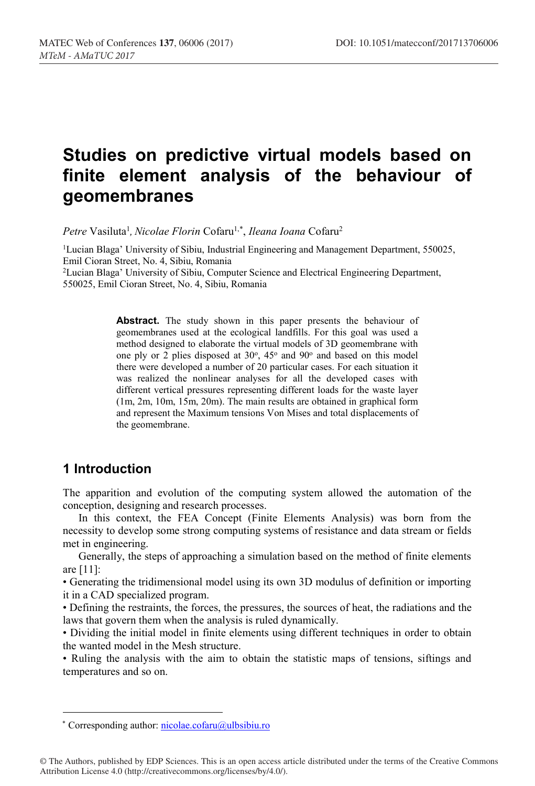# **Studies on predictive virtual models based on finite element analysis of the behaviour of geomembranes**

Petre Vasiluta<sup>1</sup>, *Nicolae Florin* Cofaru<sup>1,\*</sup>, *Ileana Ioana* Cofaru<sup>2</sup>

<sup>1</sup>Lucian Blaga' University of Sibiu, Industrial Engineering and Management Department, 550025, Emil Cioran Street, No. 4, Sibiu, Romania

<sup>2</sup>Lucian Blaga' University of Sibiu, Computer Science and Electrical Engineering Department, 550025, Emil Cioran Street, No. 4, Sibiu, Romania

> **Abstract.** The study shown in this paper presents the behaviour of geomembranes used at the ecological landfills. For this goal was used a method designed to elaborate the virtual models of 3D geomembrane with one ply or 2 plies disposed at  $30^{\circ}$ ,  $45^{\circ}$  and  $90^{\circ}$  and based on this model there were developed a number of 20 particular cases. For each situation it was realized the nonlinear analyses for all the developed cases with different vertical pressures representing different loads for the waste layer (1m, 2m, 10m, 15m, 20m). The main results are obtained in graphical form and represent the Maximum tensions Von Mises and total displacements of the geomembrane.

## **1 Introduction**

The apparition and evolution of the computing system allowed the automation of the conception, designing and research processes.

In this context, the FEA Concept (Finite Elements Analysis) was born from the necessity to develop some strong computing systems of resistance and data stream or fields met in engineering.

Generally, the steps of approaching a simulation based on the method of finite elements are [11]:

• Generating the tridimensional model using its own 3D modulus of definition or importing it in a CAD specialized program.

• Defining the restraints, the forces, the pressures, the sources of heat, the radiations and the laws that govern them when the analysis is ruled dynamically.

• Dividing the initial model in finite elements using different techniques in order to obtain the wanted model in the Mesh structure.

• Ruling the analysis with the aim to obtain the statistic maps of tensions, siftings and temperatures and so on.

© The Authors, published by EDP Sciences. This is an open access article distributed under the terms of the Creative Commons Attribution License 4.0 (http://creativecommons.org/licenses/by/4.0/).

ȗ Corresponding author: nicolae.cofaru@ulbsibiu.ro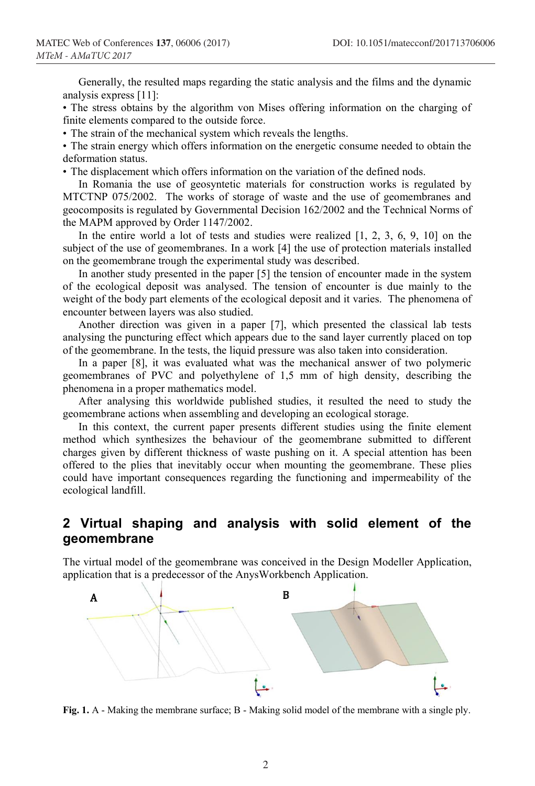Generally, the resulted maps regarding the static analysis and the films and the dynamic analysis express [11]:

• The stress obtains by the algorithm von Mises offering information on the charging of finite elements compared to the outside force.

• The strain of the mechanical system which reveals the lengths.

• The strain energy which offers information on the energetic consume needed to obtain the deformation status.

• The displacement which offers information on the variation of the defined nods.

In Romania the use of geosyntetic materials for construction works is regulated by MTCTNP 075/2002. The works of storage of waste and the use of geomembranes and geocomposits is regulated by Governmental Decision 162/2002 and the Technical Norms of the MAPM approved by Order 1147/2002.

In the entire world a lot of tests and studies were realized [1, 2, 3, 6, 9, 10] on the subject of the use of geomembranes. In a work [4] the use of protection materials installed on the geomembrane trough the experimental study was described.

In another study presented in the paper [5] the tension of encounter made in the system of the ecological deposit was analysed. The tension of encounter is due mainly to the weight of the body part elements of the ecological deposit and it varies. The phenomena of encounter between layers was also studied.

Another direction was given in a paper [7], which presented the classical lab tests analysing the puncturing effect which appears due to the sand layer currently placed on top of the geomembrane. In the tests, the liquid pressure was also taken into consideration.

In a paper [8], it was evaluated what was the mechanical answer of two polymeric geomembranes of PVC and polyethylene of 1,5 mm of high density, describing the phenomena in a proper mathematics model.

After analysing this worldwide published studies, it resulted the need to study the geomembrane actions when assembling and developing an ecological storage.

In this context, the current paper presents different studies using the finite element method which synthesizes the behaviour of the geomembrane submitted to different charges given by different thickness of waste pushing on it. A special attention has been offered to the plies that inevitably occur when mounting the geomembrane. These plies could have important consequences regarding the functioning and impermeability of the ecological landfill.

### **2 Virtual shaping and analysis with solid element of the geomembrane**

The virtual model of the geomembrane was conceived in the Design Modeller Application, application that is a predecessor of the AnysWorkbench Application.



Fig. 1. A - Making the membrane surface; B - Making solid model of the membrane with a single ply.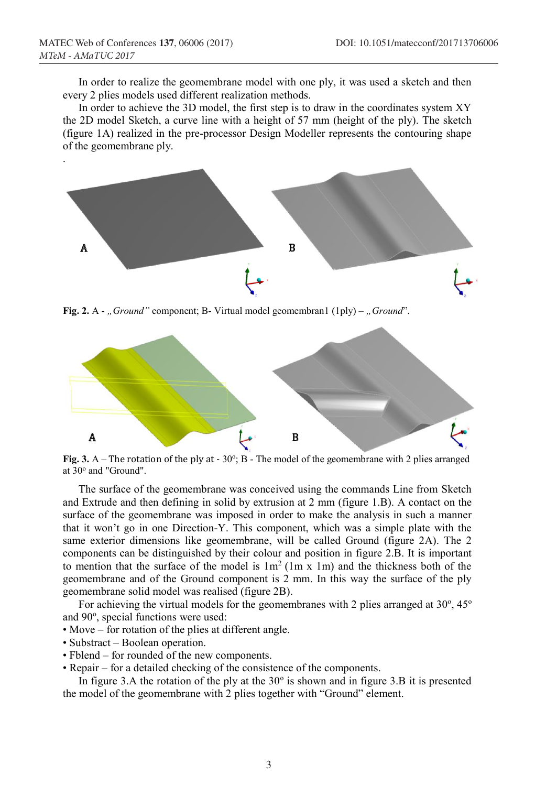In order to realize the geomembrane model with one ply, it was used a sketch and then every 2 plies models used different realization methods.

In order to achieve the 3D model, the first step is to draw in the coordinates system XY the 2D model Sketch, a curve line with a height of 57 mm (height of the ply). The sketch (figure 1A) realized in the pre-processor Design Modeller represents the contouring shape of the geomembrane ply.



**Fig. 2.** A - "*Ground*" component; B- Virtual model geomembran1 (1ply) – "*Ground*".



Fig. 3. A – The rotation of the ply at -  $30^{\circ}$ ; B - The model of the geomembrane with 2 plies arranged at 30° and "Ground".

The surface of the geomembrane was conceived using the commands Line from Sketch and Extrude and then defining in solid by extrusion at 2 mm (figure 1.B). A contact on the surface of the geomembrane was imposed in order to make the analysis in such a manner that it won't go in one Direction-Y. This component, which was a simple plate with the same exterior dimensions like geomembrane, will be called Ground (figure 2A). The 2 components can be distinguished by their colour and position in figure 2.B. It is important to mention that the surface of the model is  $1m^2$  (1m x 1m) and the thickness both of the geomembrane and of the Ground component is 2 mm. In this way the surface of the ply geomembrane solid model was realised (figure 2B).

For achieving the virtual models for the geomembranes with 2 plies arranged at  $30^{\circ}$ ,  $45^{\circ}$ and 90°, special functions were used:

- Move for rotation of the plies at different angle.
- Substract Boolean operation.
- Fblend for rounded of the new components.
- Repair for a detailed checking of the consistence of the components.

In figure 3.A the rotation of the ply at the  $30^{\circ}$  is shown and in figure 3.B it is presented the model of the geomembrane with 2 plies together with "Ground" element.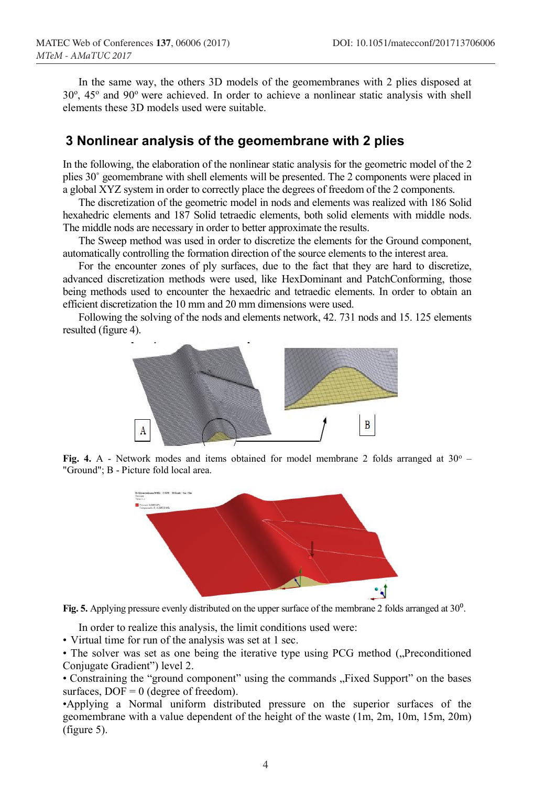In the same way, the others 3D models of the geomembranes with 2 plies disposed at 30°, 45° and 90° were achieved. In order to achieve a nonlinear static analysis with shell elements these 3D models used were suitable.

#### **3 Nonlinear analysis of the geomembrane with 2 plies**

In the following, the elaboration of the nonlinear static analysis for the geometric model of the 2 plies 30˚ geomembrane with shell elements will be presented. The 2 components were placed in a global XYZ system in order to correctly place the degrees of freedom of the 2 components.

The discretization of the geometric model in nods and elements was realized with 186 Solid hexahedric elements and 187 Solid tetraedic elements, both solid elements with middle nods. The middle nods are necessary in order to better approximate the results.

The Sweep method was used in order to discretize the elements for the Ground component, automatically controlling the formation direction of the source elements to the interest area.

For the encounter zones of ply surfaces, due to the fact that they are hard to discretize, advanced discretization methods were used, like HexDominant and PatchConforming, those being methods used to encounter the hexaedric and tetraedic elements. In order to obtain an efficient discretization the 10 mm and 20 mm dimensions were used.

Following the solving of the nods and elements network, 42. 731 nods and 15. 125 elements resulted (figure 4).









In order to realize this analysis, the limit conditions used were:

• Virtual time for run of the analysis was set at 1 sec.

• The solver was set as one being the iterative type using PCG method ("Preconditioned Conjugate Gradient") level 2.

• Constraining the "ground component" using the commands "Fixed Support" on the bases surfaces,  $DOF = 0$  (degree of freedom).

•Applying a Normal uniform distributed pressure on the superior surfaces of the geomembrane with a value dependent of the height of the waste (1m, 2m, 10m, 15m, 20m) (figure 5).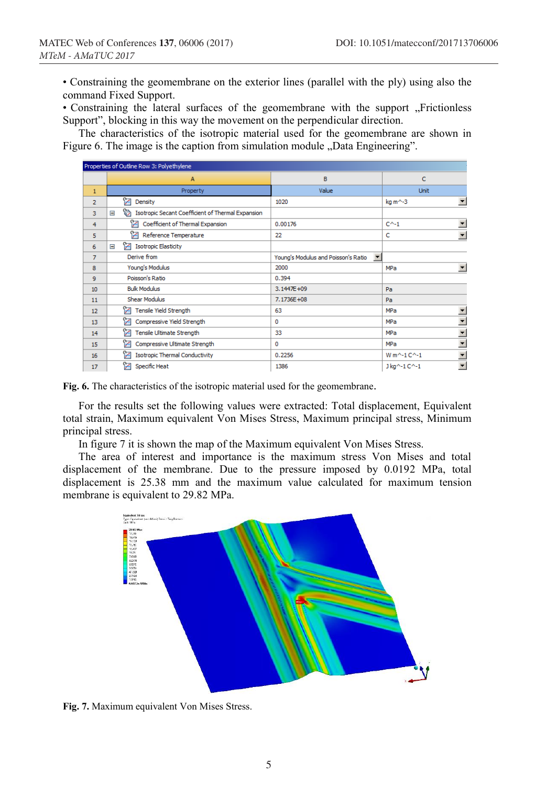• Constraining the geomembrane on the exterior lines (parallel with the ply) using also the command Fixed Support.

• Constraining the lateral surfaces of the geomembrane with the support "Frictionless Support", blocking in this way the movement on the perpendicular direction.

The characteristics of the isotropic material used for the geomembrane are shown in Figure 6. The image is the caption from simulation module "Data Engineering".

| Properties of Outline Row 3: Polyethylene |                                                             |                                                             |                                          |  |  |  |  |
|-------------------------------------------|-------------------------------------------------------------|-------------------------------------------------------------|------------------------------------------|--|--|--|--|
|                                           | A                                                           | B                                                           | c                                        |  |  |  |  |
| $\mathbf{1}$                              | Property                                                    | Value                                                       | <b>Unit</b>                              |  |  |  |  |
| $\overline{2}$                            | ħ<br>Density                                                | 1020                                                        | $\overline{ }$<br>kg m^-3                |  |  |  |  |
| 3                                         | ħ<br>Isotropic Secant Coefficient of Thermal Expansion<br>Ξ |                                                             |                                          |  |  |  |  |
| 4                                         | Coefficient of Thermal Expansion                            | 0.00176                                                     | $\overline{\phantom{a}}$<br>$C^{A-1}$    |  |  |  |  |
| 5                                         | ħ<br>Reference Temperature                                  | 22                                                          | $\overline{ }$<br>c                      |  |  |  |  |
| 6                                         | Z<br><b>Isotropic Elasticity</b><br>$\equiv$                |                                                             |                                          |  |  |  |  |
| 7                                         | Derive from                                                 | $\blacktriangledown$<br>Young's Modulus and Poisson's Ratio |                                          |  |  |  |  |
| 8                                         | Young's Modulus                                             | 2000                                                        | $\overline{\phantom{a}}$<br>MPa          |  |  |  |  |
| 9                                         | Poisson's Ratio                                             | 0.394                                                       |                                          |  |  |  |  |
| 10                                        | <b>Bulk Modulus</b>                                         | 3.1447E+09                                                  | Pa                                       |  |  |  |  |
| 11                                        | <b>Shear Modulus</b>                                        | 7.1736E+08                                                  | Pa                                       |  |  |  |  |
| 12                                        | ħ<br>Tensile Yield Strength                                 | 63                                                          | $\overline{ }$<br>MPa                    |  |  |  |  |
| 13                                        | ?≠<br>Compressive Yield Strength                            | 0                                                           | $\overline{\phantom{a}}$<br>MPa          |  |  |  |  |
| 14                                        | ħ<br>Tensile Ultimate Strength                              | 33                                                          | $\overline{ }$<br>MPa                    |  |  |  |  |
| 15                                        | ?<br>Compressive Ultimate Strength                          | 0                                                           | $\overline{\phantom{a}}$<br><b>MPa</b>   |  |  |  |  |
| 16                                        | 12<br><b>Isotropic Thermal Conductivity</b>                 | 0.2256                                                      | $\overline{ }$<br>W m^-1C^-1             |  |  |  |  |
| 17                                        | r<br>Specific Heat                                          | 1386                                                        | $\overline{\phantom{0}}$<br>J kg^-1 C^-1 |  |  |  |  |

**Fig. 6.** The characteristics of the isotropic material used for the geomembrane.

For the results set the following values were extracted: Total displacement, Equivalent total strain, Maximum equivalent Von Mises Stress, Maximum principal stress, Minimum principal stress.

In figure 7 it is shown the map of the Maximum equivalent Von Mises Stress.

The area of interest and importance is the maximum stress Von Mises and total displacement of the membrane. Due to the pressure imposed by 0.0192 MPa, total displacement is 25.38 mm and the maximum value calculated for maximum tension membrane is equivalent to 29.82 MPa.



Fig. 7. Maximum equivalent Von Mises Stress.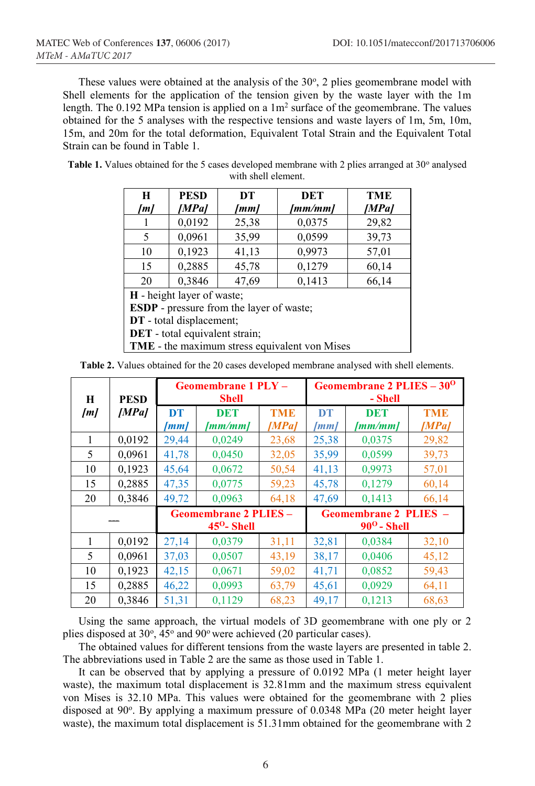These values were obtained at the analysis of the  $30^{\circ}$ , 2 plies geomembrane model with Shell elements for the application of the tension given by the waste layer with the 1m length. The 0.192 MPa tension is applied on a  $1m<sup>2</sup>$  surface of the geomembrane. The values obtained for the 5 analyses with the respective tensions and waste layers of 1m, 5m, 10m, 15m, and 20m for the total deformation, Equivalent Total Strain and the Equivalent Total Strain can be found in Table 1.

**Table 1.** Values obtained for the 5 cases developed membrane with 2 plies arranged at  $30^{\circ}$  analysed with shell element.

| H                                               | <b>PESD</b><br><b>DET</b><br>DT |                 | <b>TME</b> |       |  |  |  |
|-------------------------------------------------|---------------------------------|-----------------|------------|-------|--|--|--|
| [m]                                             | [MPa]                           | [mm/mm]<br>[mm] |            | [MPa] |  |  |  |
|                                                 | 0,0192                          | 25,38           | 0,0375     | 29,82 |  |  |  |
| 5                                               | 0,0961                          | 35,99           | 0,0599     | 39,73 |  |  |  |
| 10                                              | 0,1923                          | 41,13           | 0,9973     | 57,01 |  |  |  |
| 15                                              | 0,2885                          | 45,78           | 0,1279     | 60,14 |  |  |  |
| 20                                              | 0,3846                          | 47,69           | 0,1413     | 66,14 |  |  |  |
| <b>H</b> - height layer of waste;               |                                 |                 |            |       |  |  |  |
| <b>ESDP</b> - pressure from the layer of waste; |                                 |                 |            |       |  |  |  |
| DT - total displacement;                        |                                 |                 |            |       |  |  |  |

**DET** - total equivalent strain;

**TME** - the maximum stress equivalent von Mises

|--|

| $\bf H$ | <b>PESD</b> | Geomembrane 1 PLY -<br><b>Shell</b>                  |                       | Geomembrane 2 PLIES - 30 <sup>0</sup><br>- Shell   |                   |                       |                     |
|---------|-------------|------------------------------------------------------|-----------------------|----------------------------------------------------|-------------------|-----------------------|---------------------|
| [m]     | [MPa]       | <b>DT</b><br>[mm]                                    | <b>DET</b><br>[mm/mm] | <b>TME</b><br>[MPa]                                | <b>DT</b><br>[mm] | <b>DET</b><br>[mm/mm] | <b>TME</b><br>[MPa] |
|         | 0,0192      | 29,44                                                | 0,0249                | 23,68                                              | 25,38             | 0,0375                | 29,82               |
| 5       | 0,0961      | 41,78                                                | 0,0450                | 32,05                                              | 35,99             | 0,0599                | 39,73               |
| 10      | 0,1923      | 45,64                                                | 0,0672                | 50,54                                              | 41,13             | 0,9973                | 57,01               |
| 15      | 0,2885      | 47,35                                                | 0,0775                | 59,23                                              | 45,78             | 0,1279                | 60,14               |
| 20      | 0,3846      | 49,72                                                | 0,0963                | 64,18                                              | 47,69             | 0,1413                | 66,14               |
|         |             | <b>Geomembrane 2 PLIES -</b><br>$45^{\circ}$ - Shell |                       | <b>Geomembrane 2 PLIES</b><br>$90^{\rm o}$ - Shell |                   |                       |                     |
| 1       | 0,0192      | 27,14                                                | 0,0379                | 31,11                                              | 32,81             | 0,0384                | 32,10               |
| 5       | 0,0961      | 37,03                                                | 0,0507                | 43,19                                              | 38,17             | 0,0406                | 45,12               |
| 10      | 0,1923      | 42,15                                                | 0,0671                | 59,02                                              | 41,71             | 0,0852                | 59,43               |
| 15      | 0,2885      | 46,22                                                | 0,0993                | 63,79                                              | 45,61             | 0,0929                | 64,11               |
| 20      | 0,3846      | 51,31                                                | 0,1129                | 68,23                                              | 49,17             | 0,1213                | 68,63               |

Using the same approach, the virtual models of 3D geomembrane with one ply or 2 plies disposed at 30°, 45° and 90° were achieved (20 particular cases).

The obtained values for different tensions from the waste layers are presented in table 2. The abbreviations used in Table 2 are the same as those used in Table 1.

It can be observed that by applying a pressure of 0.0192 MPa (1 meter height layer waste), the maximum total displacement is 32.81mm and the maximum stress equivalent von Mises is 32.10 MPa. This values were obtained for the geomembrane with 2 plies disposed at 90°. By applying a maximum pressure of 0.0348 MPa (20 meter height layer waste), the maximum total displacement is 51.31mm obtained for the geomembrane with 2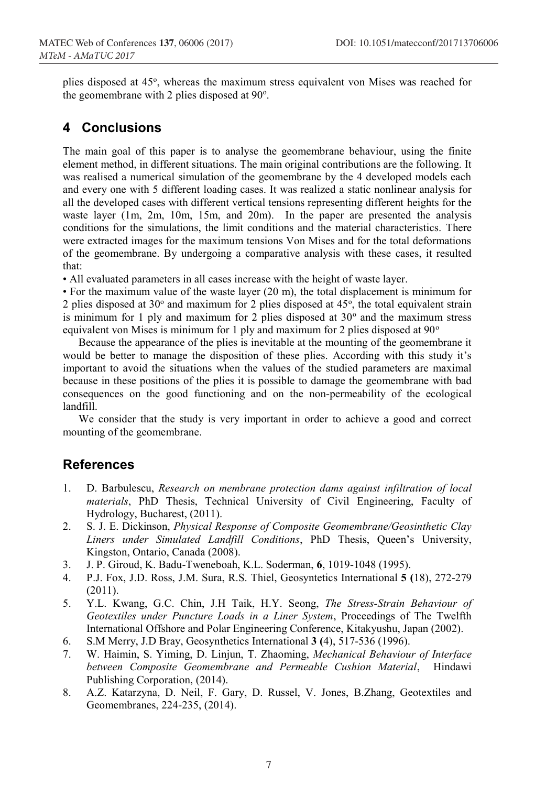plies disposed at 45°, whereas the maximum stress equivalent von Mises was reached for the geomembrane with 2 plies disposed at 90°.

## **4 Conclusions**

The main goal of this paper is to analyse the geomembrane behaviour, using the finite element method, in different situations. The main original contributions are the following. It was realised a numerical simulation of the geomembrane by the 4 developed models each and every one with 5 different loading cases. It was realized a static nonlinear analysis for all the developed cases with different vertical tensions representing different heights for the waste layer (1m, 2m, 10m, 15m, and 20m). In the paper are presented the analysis conditions for the simulations, the limit conditions and the material characteristics. There were extracted images for the maximum tensions Von Mises and for the total deformations of the geomembrane. By undergoing a comparative analysis with these cases, it resulted that:

• All evaluated parameters in all cases increase with the height of waste layer.

• For the maximum value of the waste layer (20 m), the total displacement is minimum for 2 plies disposed at  $30^{\circ}$  and maximum for 2 plies disposed at  $45^{\circ}$ , the total equivalent strain is minimum for 1 ply and maximum for 2 plies disposed at  $30^{\circ}$  and the maximum stress equivalent von Mises is minimum for 1 ply and maximum for 2 plies disposed at 90<sup>°</sup>

Because the appearance of the plies is inevitable at the mounting of the geomembrane it would be better to manage the disposition of these plies. According with this study it's important to avoid the situations when the values of the studied parameters are maximal because in these positions of the plies it is possible to damage the geomembrane with bad consequences on the good functioning and on the non-permeability of the ecological landfill.

We consider that the study is very important in order to achieve a good and correct mounting of the geomembrane.

#### **References**

- 1. D. Barbulescu, *Research on membrane protection dams against infiltration of local materials*, PhD Thesis, Technical University of Civil Engineering, Faculty of Hydrology, Bucharest, (2011).
- 2. S. J. E. Dickinson, *Physical Response of Composite Geomembrane/Geosinthetic Clay Liners under Simulated Landfill Conditions*, PhD Thesis, Queen's University, Kingston, Ontario, Canada (2008).
- 3. J. P. Giroud, K. Badu-Tweneboah, K.L. Soderman, **6**, 1019-1048 (1995).
- 4. P.J. Fox, J.D. Ross, J.M. Sura, R.S. Thiel, Geosyntetics International **5 (**18), 272-279 (2011).
- 5. Y.L. Kwang, G.C. Chin, J.H Taik, H.Y. Seong, *The Stress-Strain Behaviour of Geotextiles under Puncture Loads in a Liner System*, Proceedings of The Twelfth International Offshore and Polar Engineering Conference, Kitakyushu, Japan (2002).
- 6. S.M Merry, J.D Bray, Geosynthetics International **3 (**4), 517-536 (1996).
- 7. W. Haimin, S. Yiming, D. Linjun, T. Zhaoming, *Mechanical Behaviour of Interface between Composite Geomembrane and Permeable Cushion Material*, Hindawi Publishing Corporation, (2014).
- 8. A.Z. Katarzyna, D. Neil, F. Gary, D. Russel, V. Jones, B.Zhang, Geotextiles and Geomembranes, 224-235, (2014).